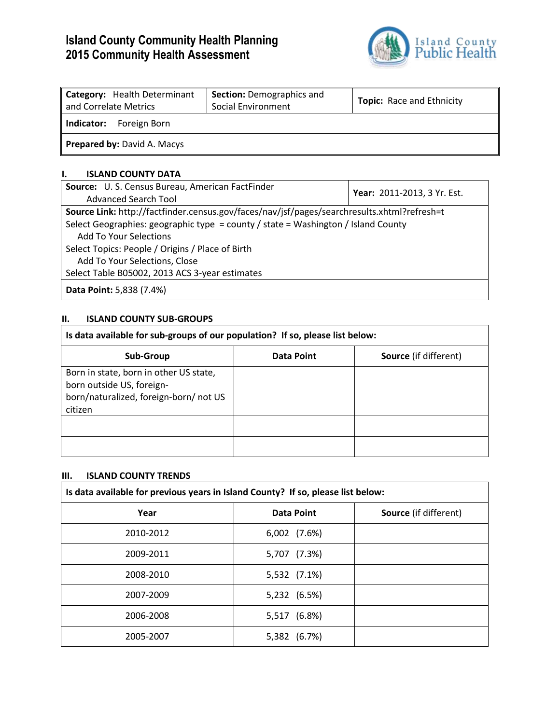# **Island County Community Health Planning 2015 Community Health Assessment**



| Category: Health Determinant<br>and Correlate Metrics | <b>Section: Demographics and</b><br>Social Environment | <b>Topic:</b> Race and Ethnicity |
|-------------------------------------------------------|--------------------------------------------------------|----------------------------------|
| Foreign Born<br>Indicator:                            |                                                        |                                  |
| <b>Prepared by: David A. Macys</b>                    |                                                        |                                  |

## **I. ISLAND COUNTY DATA**

| Source: U. S. Census Bureau, American FactFinder                                            |                             |  |
|---------------------------------------------------------------------------------------------|-----------------------------|--|
| <b>Advanced Search Tool</b>                                                                 | Year: 2011-2013, 3 Yr. Est. |  |
| Source Link: http://factfinder.census.gov/faces/nav/jsf/pages/searchresults.xhtml?refresh=t |                             |  |
| Select Geographies: geographic type = county / state = Washington / Island County           |                             |  |
| <b>Add To Your Selections</b>                                                               |                             |  |
| Select Topics: People / Origins / Place of Birth                                            |                             |  |
| Add To Your Selections, Close                                                               |                             |  |
| Select Table B05002, 2013 ACS 3-year estimates                                              |                             |  |
| <b>Data Point: 5,838 (7.4%)</b>                                                             |                             |  |

# **II. ISLAND COUNTY SUB-GROUPS**

| Is data available for sub-groups of our population? If so, please list below:                                           |                   |                              |
|-------------------------------------------------------------------------------------------------------------------------|-------------------|------------------------------|
| <b>Sub-Group</b>                                                                                                        | <b>Data Point</b> | <b>Source</b> (if different) |
| Born in state, born in other US state,<br>born outside US, foreign-<br>born/naturalized, foreign-born/not US<br>citizen |                   |                              |
|                                                                                                                         |                   |                              |
|                                                                                                                         |                   |                              |

## **III. ISLAND COUNTY TRENDS**

| Is data available for previous years in Island County? If so, please list below: |                   |                              |
|----------------------------------------------------------------------------------|-------------------|------------------------------|
| Year                                                                             | <b>Data Point</b> | <b>Source</b> (if different) |
| 2010-2012                                                                        | 6,002 (7.6%)      |                              |
| 2009-2011                                                                        | 5,707 (7.3%)      |                              |
| 2008-2010                                                                        | 5,532 (7.1%)      |                              |
| 2007-2009                                                                        | 5,232 (6.5%)      |                              |
| 2006-2008                                                                        | 5,517 (6.8%)      |                              |
| 2005-2007                                                                        | 5,382 (6.7%)      |                              |